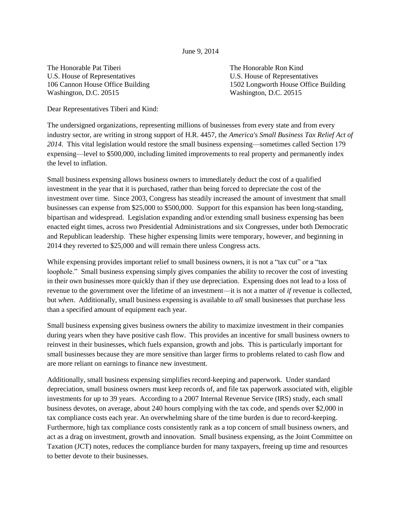## June 9, 2014

The Honorable Pat Tiberi The Honorable Ron Kind U.S. House of Representatives U.S. House of Representatives Washington, D.C. 20515 Washington, D.C. 20515

106 Cannon House Office Building 1502 Longworth House Office Building

Dear Representatives Tiberi and Kind:

The undersigned organizations, representing millions of businesses from every state and from every industry sector, are writing in strong support of H.R. 4457, the *America's Small Business Tax Relief Act of 2014*. This vital legislation would restore the small business expensing—sometimes called Section 179 expensing—level to \$500,000, including limited improvements to real property and permanently index the level to inflation.

Small business expensing allows business owners to immediately deduct the cost of a qualified investment in the year that it is purchased, rather than being forced to depreciate the cost of the investment over time. Since 2003, Congress has steadily increased the amount of investment that small businesses can expense from \$25,000 to \$500,000. Support for this expansion has been long-standing, bipartisan and widespread. Legislation expanding and/or extending small business expensing has been enacted eight times, across two Presidential Administrations and six Congresses, under both Democratic and Republican leadership. These higher expensing limits were temporary, however, and beginning in 2014 they reverted to \$25,000 and will remain there unless Congress acts.

While expensing provides important relief to small business owners, it is not a "tax cut" or a "tax loophole." Small business expensing simply gives companies the ability to recover the cost of investing in their own businesses more quickly than if they use depreciation. Expensing does not lead to a loss of revenue to the government over the lifetime of an investment—it is not a matter of *if* revenue is collected, but *when*. Additionally, small business expensing is available to *all* small businesses that purchase less than a specified amount of equipment each year.

Small business expensing gives business owners the ability to maximize investment in their companies during years when they have positive cash flow. This provides an incentive for small business owners to reinvest in their businesses, which fuels expansion, growth and jobs. This is particularly important for small businesses because they are more sensitive than larger firms to problems related to cash flow and are more reliant on earnings to finance new investment.

Additionally, small business expensing simplifies record-keeping and paperwork. Under standard depreciation, small business owners must keep records of, and file tax paperwork associated with, eligible investments for up to 39 years. According to a 2007 Internal Revenue Service (IRS) study, each small business devotes, on average, about 240 hours complying with the tax code, and spends over \$2,000 in tax compliance costs each year. An overwhelming share of the time burden is due to record-keeping. Furthermore, high tax compliance costs consistently rank as a top concern of small business owners, and act as a drag on investment, growth and innovation. Small business expensing, as the Joint Committee on Taxation (JCT) notes, reduces the compliance burden for many taxpayers, freeing up time and resources to better devote to their businesses.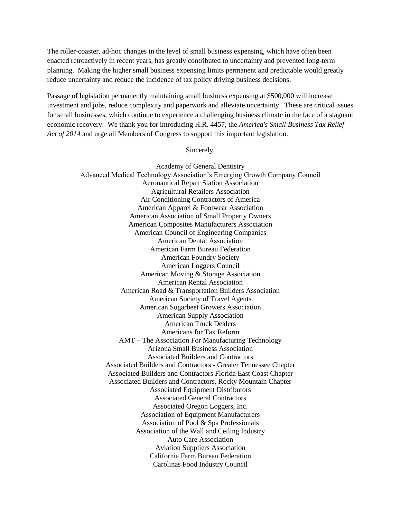The roller-coaster, ad-hoc changes in the level of small business expensing, which have often been enacted retroactively in recent years, has greatly contributed to uncertainty and prevented long-term planning. Making the higher small business expensing limits permanent and predictable would greatly reduce uncertainty and reduce the incidence of tax policy driving business decisions.

Passage of legislation permanently maintaining small business expensing at \$500,000 will increase investment and jobs, reduce complexity and paperwork and alleviate uncertainty. These are critical issues for small businesses, which continue to experience a challenging business climate in the face of a stagnant economic recovery. We thank you for introducing H.R. 4457, the *America's Small Business Tax Relief Act of 2014* and urge all Members of Congress to support this important legislation.

## Sincerely,

Academy of General Dentistry Advanced Medical Technology Association's Emerging Growth Company Council Aeronautical Repair Station Association Agricultural Retailers Association Air Conditioning Contractors of America American Apparel & Footwear Association American Association of Small Property Owners American Composites Manufacturers Association American Council of Engineering Companies American Dental Association American Farm Bureau Federation American Foundry Society American Loggers Council American Moving & Storage Association American Rental Association American Road & Transportation Builders Association American Society of Travel Agents American Sugarbeet Growers Association American Supply Association American Truck Dealers Americans for Tax Reform AMT – The Association For Manufacturing Technology Arizona Small Business Association Associated Builders and Contractors Associated Builders and Contractors - Greater Tennessee Chapter Associated Builders and Contractors Florida East Coast Chapter Associated Builders and Contractors, Rocky Mountain Chapter Associated Equipment Distributors Associated General Contractors Associated Oregon Loggers, Inc. Association of Equipment Manufacturers Association of Pool & Spa Professionals Association of the Wall and Ceiling Industry Auto Care Association Aviation Suppliers Association California Farm Bureau Federation Carolinas Food Industry Council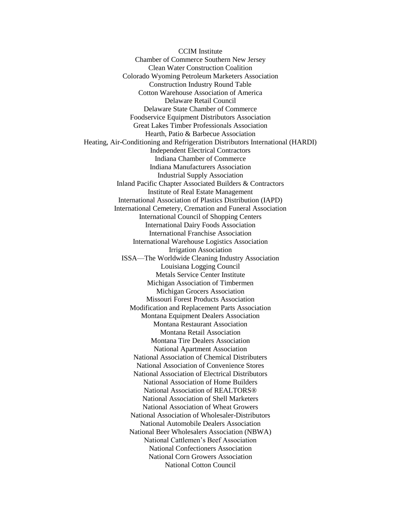CCIM Institute Chamber of Commerce Southern New Jersey Clean Water Construction Coalition Colorado Wyoming Petroleum Marketers Association Construction Industry Round Table Cotton Warehouse Association of America Delaware Retail Council Delaware State Chamber of Commerce Foodservice Equipment Distributors Association Great Lakes Timber Professionals Association Hearth, Patio & Barbecue Association Heating, Air-Conditioning and Refrigeration Distributors International (HARDI) Independent Electrical Contractors Indiana Chamber of Commerce Indiana Manufacturers Association Industrial Supply Association Inland Pacific Chapter Associated Builders & Contractors Institute of Real Estate Management International Association of Plastics Distribution (IAPD) International Cemetery, Cremation and Funeral Association International Council of Shopping Centers International Dairy Foods Association International Franchise Association International Warehouse Logistics Association Irrigation Association ISSA—The Worldwide Cleaning Industry Association Louisiana Logging Council Metals Service Center Institute Michigan Association of Timbermen Michigan Grocers Association Missouri Forest Products Association Modification and Replacement Parts Association Montana Equipment Dealers Association Montana Restaurant Association Montana Retail Association Montana Tire Dealers Association National Apartment Association National Association of Chemical Distributers National Association of Convenience Stores National Association of Electrical Distributors National Association of Home Builders National Association of REALTORS® National Association of Shell Marketers National Association of Wheat Growers National Association of Wholesaler-Distributors National Automobile Dealers Association National Beer Wholesalers Association (NBWA) National Cattlemen's Beef Association National Confectioners Association National Corn Growers Association National Cotton Council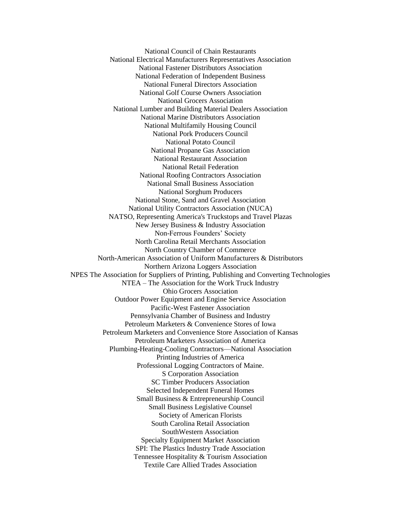National Council of Chain Restaurants National Electrical Manufacturers Representatives Association National Fastener Distributors Association National Federation of Independent Business National Funeral Directors Association National Golf Course Owners Association National Grocers Association National Lumber and Building Material Dealers Association National Marine Distributors Association National Multifamily Housing Council National Pork Producers Council National Potato Council National Propane Gas Association National Restaurant Association National Retail Federation National Roofing Contractors Association National Small Business Association National Sorghum Producers National Stone, Sand and Gravel Association National Utility Contractors Association (NUCA) NATSO, Representing America's Truckstops and Travel Plazas New Jersey Business & Industry Association Non-Ferrous Founders' Society North Carolina Retail Merchants Association North Country Chamber of Commerce North-American Association of Uniform Manufacturers & Distributors Northern Arizona Loggers Association NPES The Association for Suppliers of Printing, Publishing and Converting Technologies NTEA – The Association for the Work Truck Industry Ohio Grocers Association Outdoor Power Equipment and Engine Service Association Pacific-West Fastener Association Pennsylvania Chamber of Business and Industry Petroleum Marketers & Convenience Stores of Iowa Petroleum Marketers and Convenience Store Association of Kansas Petroleum Marketers Association of America Plumbing-Heating-Cooling Contractors—National Association Printing Industries of America Professional Logging Contractors of Maine. S Corporation Association SC Timber Producers Association Selected Independent Funeral Homes Small Business & Entrepreneurship Council Small Business Legislative Counsel Society of American Florists South Carolina Retail Association SouthWestern Association Specialty Equipment Market Association SPI: The Plastics Industry Trade Association Tennessee Hospitality & Tourism Association Textile Care Allied Trades Association